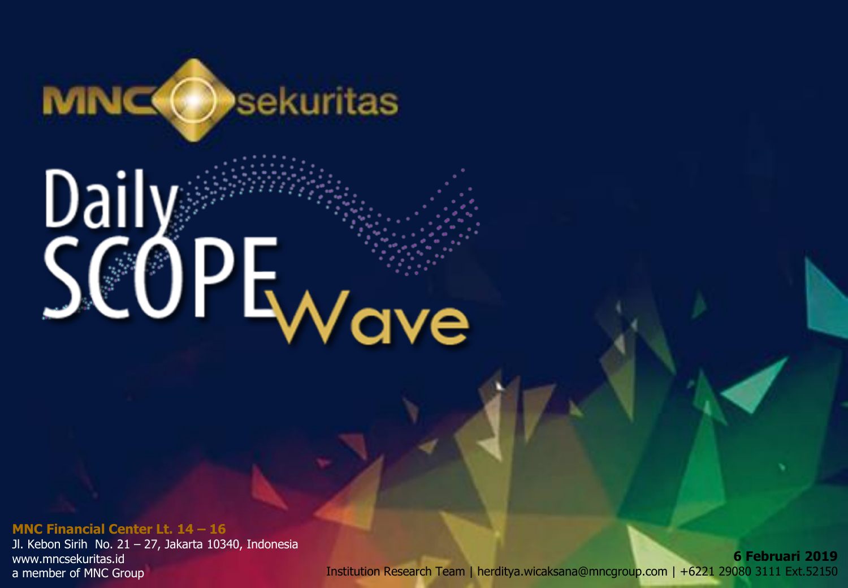

# Dail<br>Ca SCOPE<sub>Wave</sub>

**MNC Financial Center Lt. 14 – <sup>16</sup>** *20 Desember 2018* Jl. Kebon Sirih No. 21 – 27, Jakarta 10340, Indonesia www.mncsekuritas.id a member of MNC Group

 $\mathbf{Z}$ 0 Institution Research Team | herditya.wicaksana@mncgroup.com | +6221 29080 3111 Ext.52150**6 Februari 2019**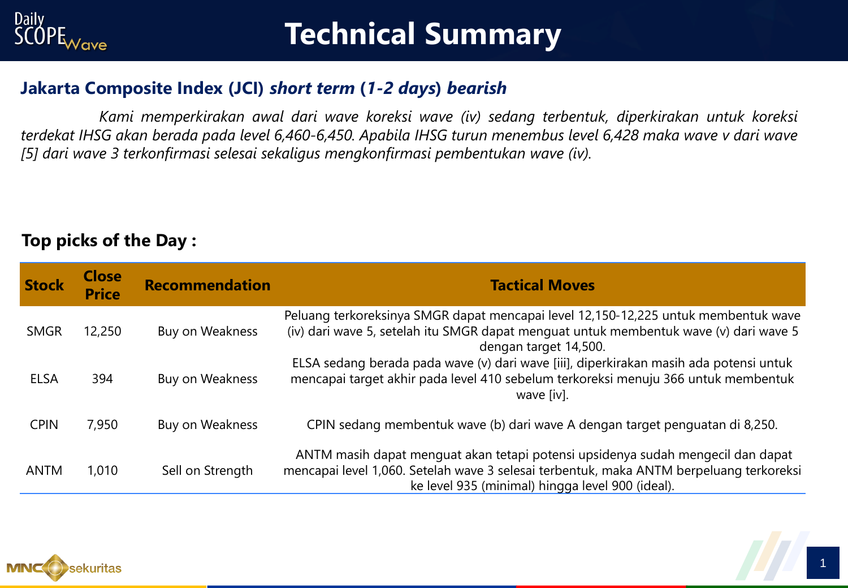

# **Technical Summary**

#### **Jakarta Composite Index (JCI)** *short term* **(***1-2 days***)** *bearish*

*Kami memperkirakan awal dari wave koreksi wave (iv) sedang terbentuk, diperkirakan untuk koreksi* terdekat IHSG akan berada pada level 6,460-6,450. Apabila IHSG turun menembus level 6,428 maka wave v dari wave *[5] dari wave 3 terkonfirmasi selesai sekaligus mengkonfirmasi pembentukan wave (iv).*

#### **Top picks of the Day :**

| <b>Stock</b> | <b>Close</b><br><b>Price</b> | <b>Recommendation</b> | <b>Tactical Moves</b>                                                                                                                                                                                                          |
|--------------|------------------------------|-----------------------|--------------------------------------------------------------------------------------------------------------------------------------------------------------------------------------------------------------------------------|
| <b>SMGR</b>  | 12,250                       | Buy on Weakness       | Peluang terkoreksinya SMGR dapat mencapai level 12,150-12,225 untuk membentuk wave<br>(iv) dari wave 5, setelah itu SMGR dapat menguat untuk membentuk wave (v) dari wave 5<br>dengan target 14,500.                           |
| <b>ELSA</b>  | 394                          | Buy on Weakness       | ELSA sedang berada pada wave (v) dari wave [iii], diperkirakan masih ada potensi untuk<br>mencapai target akhir pada level 410 sebelum terkoreksi menuju 366 untuk membentuk<br>wave [iv].                                     |
| <b>CPIN</b>  | 7,950                        | Buy on Weakness       | CPIN sedang membentuk wave (b) dari wave A dengan target penguatan di 8,250.                                                                                                                                                   |
| <b>ANTM</b>  | 1,010                        | Sell on Strength      | ANTM masih dapat menguat akan tetapi potensi upsidenya sudah mengecil dan dapat<br>mencapai level 1,060. Setelah wave 3 selesai terbentuk, maka ANTM berpeluang terkoreksi<br>ke level 935 (minimal) hingga level 900 (ideal). |

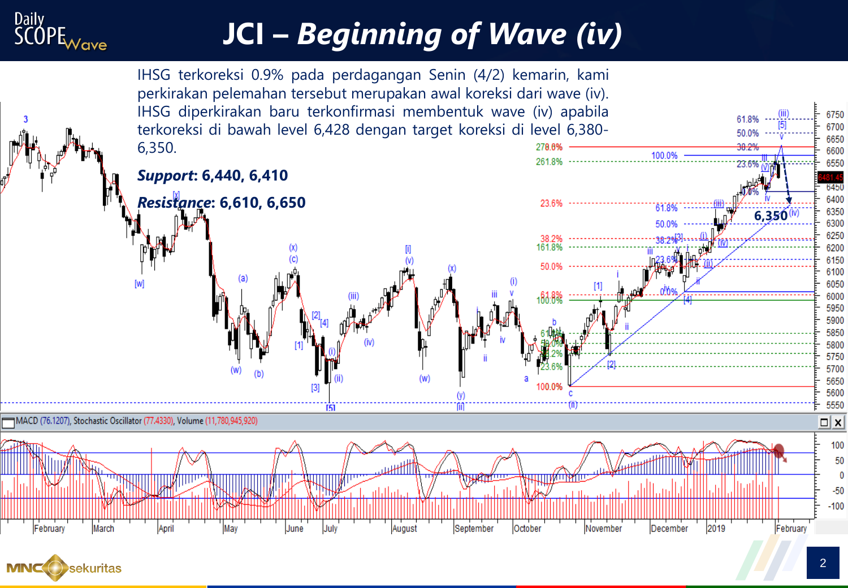

# **JCI –** *Beginning of Wave (iv)*



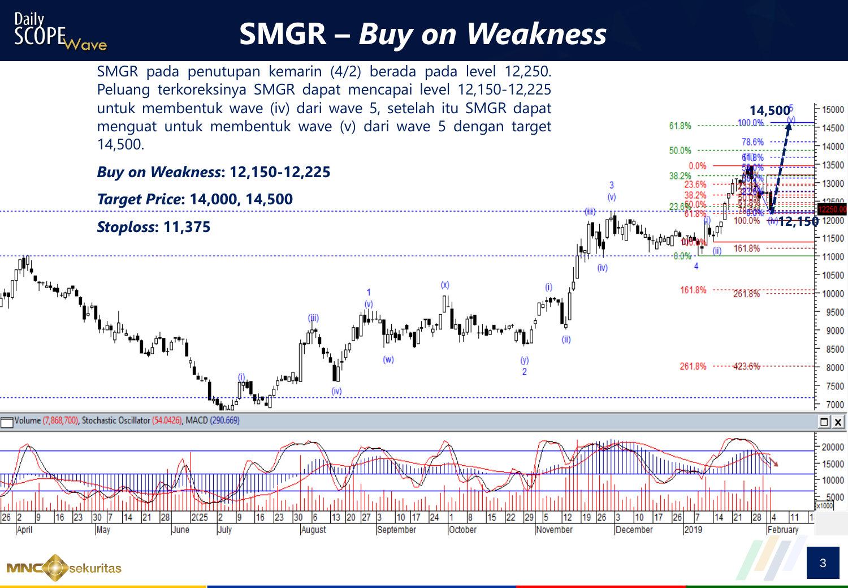

### **SMGR –** *Buy on Weakness*

SMGR pada penutupan kemarin (4/2) berada pada level 12,250. Peluang terkoreksinya SMGR dapat mencapai level 12,150-12,225 untuk membentuk wave (iv) dari wave 5, setelah itu SMGR dapat menguat untuk membentuk wave (v) dari wave 5 dengan target 14,500.





**14,500**

100.0%

61.8%

 $-15000$ 

14500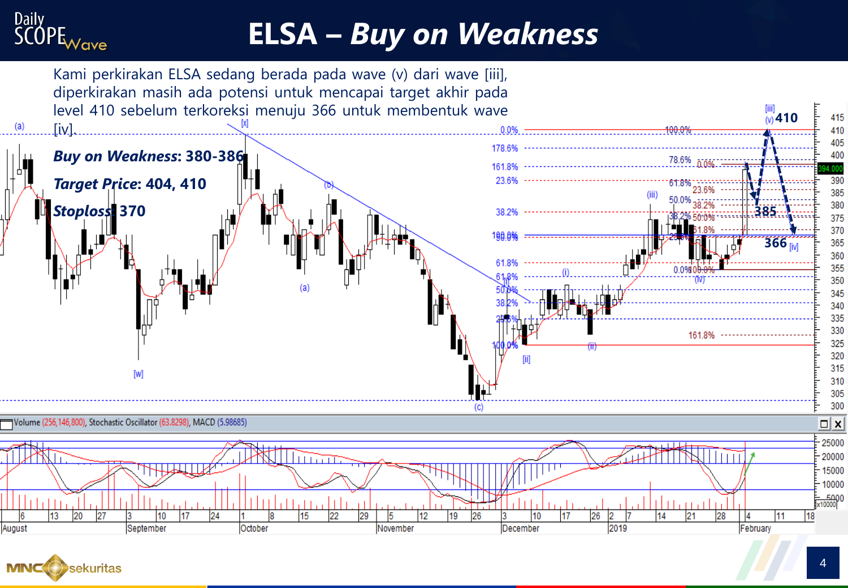

## **ELSA –** *Buy on Weakness*



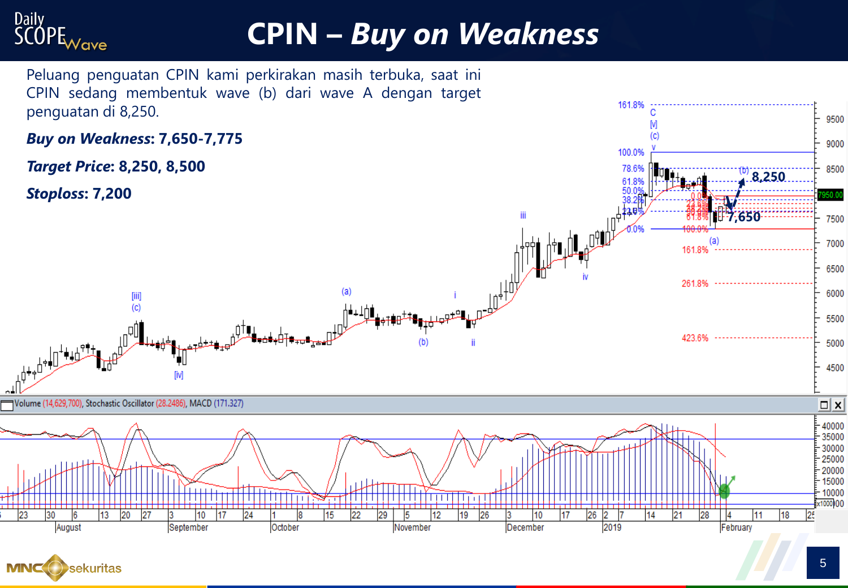

# **CPIN –** *Buy on Weakness*

Peluang penguatan CPIN kami perkirakan masih terbuka, saat ini



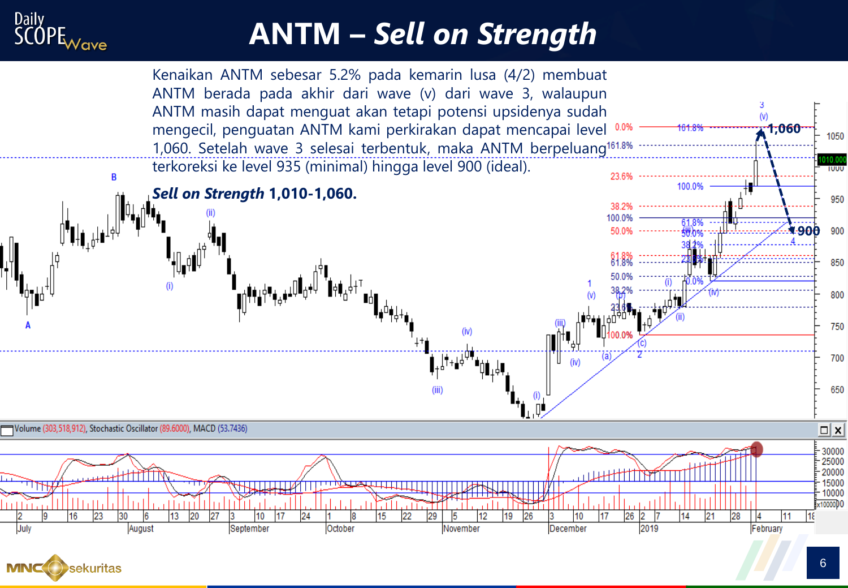

# **ANTM –** *Sell on Strength*